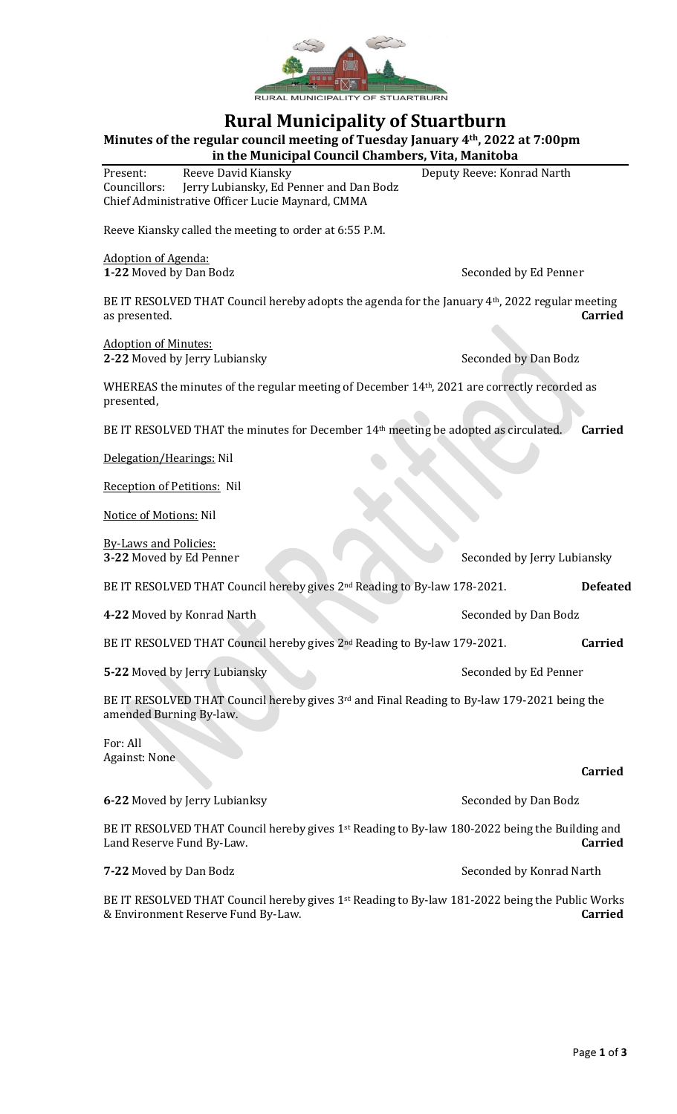

## **Rural Municipality of Stuartburn**

**Minutes of the regular council meeting of Tuesday January 4th, 2022 at 7:00pm**

**in the Municipal Council Chambers, Vita, Manitoba** Present: Reeve David Kiansky Deputy Reeve: Konrad Narth Councillors: Jerry Lubiansky, Ed Penner and Dan Bodz Chief Administrative Officer Lucie Maynard, CMMA

Reeve Kiansky called the meeting to order at 6:55 P.M.

Adoption of Agenda:

**1-22** Moved by Dan Bodz Seconded by Ed Penner

BE IT RESOLVED THAT Council hereby adopts the agenda for the January 4<sup>th</sup>, 2022 regular meeting as presented. **Carried**

Adoption of Minutes: **2-22** Moved by Jerry Lubiansky Seconded by Dan Bodz

WHEREAS the minutes of the regular meeting of December 14th, 2021 are correctly recorded as presented,

BE IT RESOLVED THAT the minutes for December 14<sup>th</sup> meeting be adopted as circulated. **Carried** 

Delegation/Hearings: Nil

Reception of Petitions: Nil

Notice of Motions: Nil

By-Laws and Policies: **3-22** Moved by Ed Penner Seconded by Jerry Lubiansky

BE IT RESOLVED THAT Council hereby gives 2nd Reading to By-law 178-2021. **Defeated**

**4-22** Moved by Konrad Narth Seconded by Dan Bodz

BE IT RESOLVED THAT Council hereby gives 2nd Reading to By-law 179-2021. **Carried**

**5-22** Moved by Jerry Lubiansky Seconded by Ed Penner

BE IT RESOLVED THAT Council hereby gives 3<sup>rd</sup> and Final Reading to By-law 179-2021 being the amended Burning By-law.

For: All Against: None

**Carried 6-22** Moved by Jerry Lubianksy Seconded by Dan Bodz BE IT RESOLVED THAT Council hereby gives 1<sup>st</sup> Reading to By-law 180-2022 being the Building and Land Reserve Fund By-Law. **Carried 7-22** Moved by Dan Bodz Seconded by Konrad Narth

BE IT RESOLVED THAT Council hereby gives 1<sup>st</sup> Reading to By-law 181-2022 being the Public Works & Environment Reserve Fund By-Law. **Carried**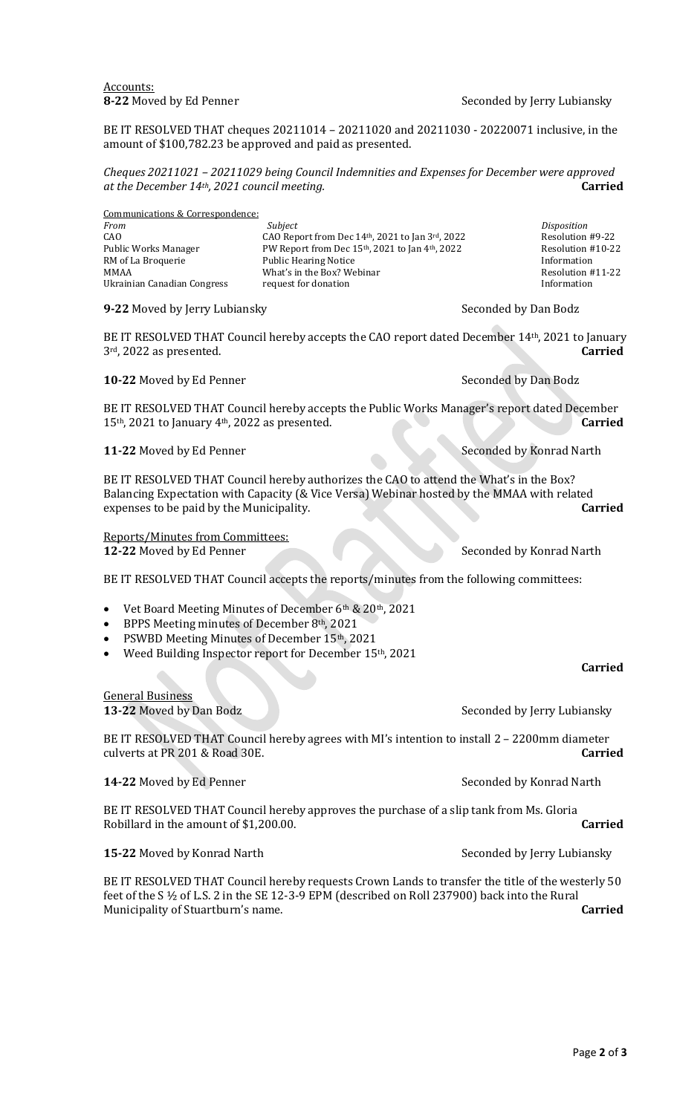Accounts:<br>**8-22** Moved by Ed Penner

**Seconded by Jerry Lubiansky** 

BE IT RESOLVED THAT cheques 20211014 – 20211020 and 20211030 - 20220071 inclusive, in the amount of \$100,782.23 be approved and paid as presented.

*Cheques 20211021 – 20211029 being Council Indemnities and Expenses for December were approved at the December 14th, 2021 council meeting.* **Carried**

Communications & Correspondence: *From Subject Disposition* CAO CAO Report from Dec  $14<sup>th</sup>$ , 2021 to Jan  $3<sup>rd</sup>$ , 2022 Resolution #9-22<br>Public Works Manager PW Report from Dec  $15<sup>th</sup>$ , 2021 to Jan  $4<sup>th</sup>$ , 2022 Resolution #10-22 PW Report from Dec 15th, 2021 to Jan 4th, 2022 RM of La Broquerie Public Hearing Notice Information MMAA What's in the Box? Webinar Ukrainian Canadian Congress request for donation **Information** Information

**9-22** Moved by Jerry Lubiansky Seconded by Dan Bodz

BE IT RESOLVED THAT Council hereby accepts the CAO report dated December 14th, 2021 to January 3rd, 2022 as presented. **Carried**

**10-22** Moved by Ed Penner Seconded by Dan Bodz

BE IT RESOLVED THAT Council hereby accepts the Public Works Manager's report dated December 15th, 2021 to January 4th, 2022 as presented. **Carried**

**11-22** Moved by Ed Penner Seconded by Konrad Narth

BE IT RESOLVED THAT Council hereby authorizes the CAO to attend the What's in the Box? Balancing Expectation with Capacity (& Vice Versa) Webinar hosted by the MMAA with related expenses to be paid by the Municipality. **Carried**

Reports/Minutes from Committees: **12-22** Moved by Ed Penner Seconded by Konrad Narth

BE IT RESOLVED THAT Council accepts the reports/minutes from the following committees:

• Vet Board Meeting Minutes of December 6th & 20th, 2021

- BPPS Meeting minutes of December 8th, 2021
- PSWBD Meeting Minutes of December 15th, 2021
- Weed Building Inspector report for December 15th, 2021

## **Carried**

**13-22** Moved by Dan Bodz Seconded by Jerry Lubiansky

BE IT RESOLVED THAT Council hereby agrees with MI's intention to install 2 – 2200mm diameter culverts at PR 201 & Road 30E. **Carried**

**14-22** Moved by Ed Penner Seconded by Konrad Narth

General Business

BE IT RESOLVED THAT Council hereby approves the purchase of a slip tank from Ms. Gloria Robillard in the amount of \$1,200.00. **Carried**

**15-22** Moved by Konrad Narth Seconded by Jerry Lubiansky

BE IT RESOLVED THAT Council hereby requests Crown Lands to transfer the title of the westerly 50 feet of the S ½ of L.S. 2 in the SE 12-3-9 EPM (described on Roll 237900) back into the Rural Municipality of Stuartburn's name. **Carried**

Page **2** of **3**